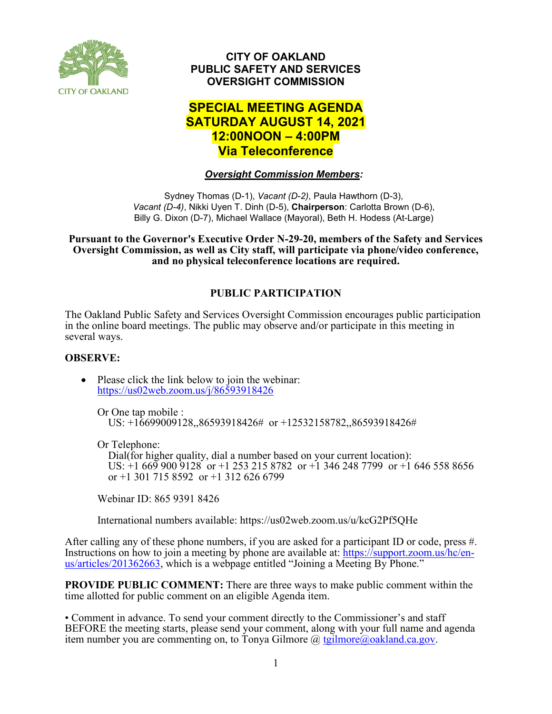

**CITY OF OAKLAND PUBLIC SAFETY AND SERVICES OVERSIGHT COMMISSION**

# **SPECIAL MEETING AGENDA SATURDAY AUGUST 14, 2021 12:00NOON – 4:00PM Via Teleconference**

### *Oversight Commission Members:*

Sydney Thomas (D-1), *Vacant (D-2)*, Paula Hawthorn (D-3), *Vacant (D-4)*, Nikki Uyen T. Dinh (D-5), **Chairperson**: Carlotta Brown (D-6), Billy G. Dixon (D-7), Michael Wallace (Mayoral), Beth H. Hodess (At-Large)

### **Pursuant to the Governor's Executive Order N-29-20, members of the Safety and Services Oversight Commission, as well as City staff, will participate via phone/video conference, and no physical teleconference locations are required.**

## **PUBLIC PARTICIPATION**

The Oakland Public Safety and Services Oversight Commission encourages public participation in the online board meetings. The public may observe and/or participate in this meeting in several ways.

### **OBSERVE:**

• Please click the link below to join the webinar: <https://us02web.zoom.us/j/86593918426>

Or One tap mobile :

US: +16699009128,,86593918426# or +12532158782,,86593918426#

Or Telephone:

 Dial(for higher quality, dial a number based on your current location): US:  $\pm 1$  669 900 9128 or  $\pm 1$  253 215 8782 or  $\pm 1$  346 248 7799 or  $\pm 1$  646 558 8656 or +1 301 715 8592 or +1 312 626 6799

Webinar ID: 865 9391 8426

International numbers available: https://us02web.zoom.us/u/kcG2Pf5QHe

After calling any of these phone numbers, if you are asked for a participant ID or code, press #. Instructions on how to join a meeting by phone are available at: [https://support.zoom.us/hc/en](https://support.zoom.us/hc/en-us/articles/201362663)[us/articles/201362663,](https://support.zoom.us/hc/en-us/articles/201362663) which is a webpage entitled "Joining a Meeting By Phone."

**PROVIDE PUBLIC COMMENT:** There are three ways to make public comment within the time allotted for public comment on an eligible Agenda item.

• Comment in advance. To send your comment directly to the Commissioner's and staff BEFORE the meeting starts, please send your comment, along with your full name and agenda item number you are commenting on, to Tonya Gilmore  $\omega$  tgilmore $\omega$ oakland.ca.gov.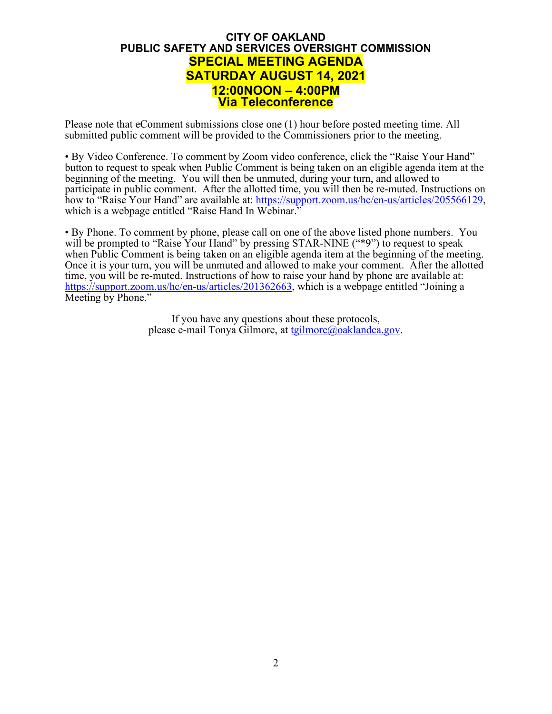## **CITY OF OAKLAND PUBLIC SAFETY AND SERVICES OVERSIGHT COMMISSION SPECIAL MEETING AGENDA SATURDAY AUGUST 14, 2021 12:00NOON – 4:00PM Via Teleconference**

Please note that eComment submissions close one (1) hour before posted meeting time. All submitted public comment will be provided to the Commissioners prior to the meeting.

• By Video Conference. To comment by Zoom video conference, click the "Raise Your Hand" button to request to speak when Public Comment is being taken on an eligible agenda item at the beginning of the meeting. You will then be unmuted, during your turn, and allowed to participate in public comment. After the allotted time, you will then be re-muted. Instructions on how to "Raise Your Hand" are available at: [https://support.zoom.us/hc/en-us/articles/205566129,](https://support.zoom.us/hc/en-us/articles/205566129) which is a webpage entitled "Raise Hand In Webinar."

• By Phone. To comment by phone, please call on one of the above listed phone numbers. You will be prompted to "Raise Your Hand" by pressing STAR-NINE ("\*9") to request to speak when Public Comment is being taken on an eligible agenda item at the beginning of the meeting. Once it is your turn, you will be unmuted and allowed to make your comment. After the allotted time, you will be re-muted. Instructions of how to raise your hand by phone are available at: [https://support.zoom.us/hc/en-us/articles/201362663,](https://support.zoom.us/hc/en-us/articles/201362663) which is a webpage entitled "Joining a Meeting by Phone."

> If you have any questions about these protocols, please e-mail Tonya Gilmore, at [tgilmore@oaklandca.gov.](mailto:tgilmore@oaklandca.gov)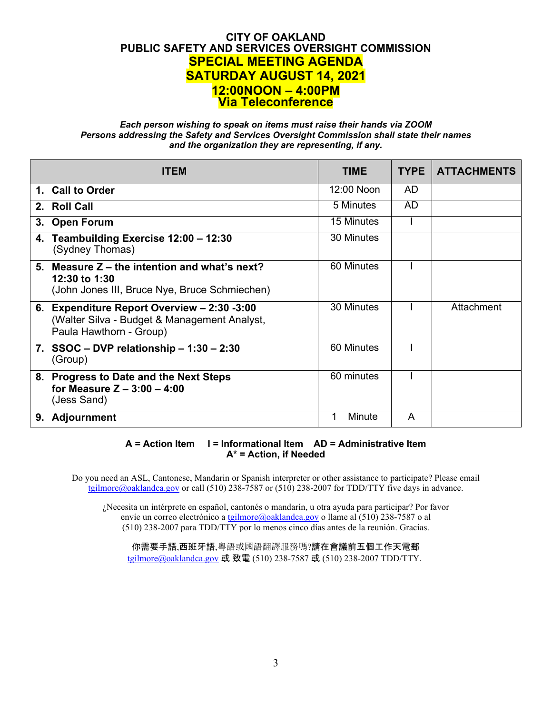## **CITY OF OAKLAND PUBLIC SAFETY AND SERVICES OVERSIGHT COMMISSION SPECIAL MEETING AGENDA SATURDAY AUGUST 14, 2021 12:00NOON – 4:00PM Via Teleconference**

*Each person wishing to speak on items must raise their hands via ZOOM Persons addressing the Safety and Services Oversight Commission shall state their names and the organization they are representing, if any.*

|    | <b>ITEM</b>                                                                                                         | <b>TIME</b> | <b>TYPE</b> | <b>ATTACHMENTS</b> |
|----|---------------------------------------------------------------------------------------------------------------------|-------------|-------------|--------------------|
|    | 1. Call to Order                                                                                                    | 12:00 Noon  | AD.         |                    |
|    | 2. Roll Call                                                                                                        | 5 Minutes   | <b>AD</b>   |                    |
| 3. | <b>Open Forum</b>                                                                                                   | 15 Minutes  |             |                    |
|    | 4. Teambuilding Exercise 12:00 - 12:30<br>(Sydney Thomas)                                                           | 30 Minutes  |             |                    |
|    | 5. Measure $Z$ – the intention and what's next?<br>12:30 to 1:30<br>(John Jones III, Bruce Nye, Bruce Schmiechen)   | 60 Minutes  |             |                    |
| 6. | Expenditure Report Overview - 2:30 -3:00<br>(Walter Silva - Budget & Management Analyst,<br>Paula Hawthorn - Group) | 30 Minutes  |             | Attachment         |
|    | 7. $SSOC - DVP$ relationship $-1:30 - 2:30$<br>(Group)                                                              | 60 Minutes  |             |                    |
|    | 8. Progress to Date and the Next Steps<br>for Measure $Z - 3:00 - 4:00$<br>(Jess Sand)                              | 60 minutes  |             |                    |
|    | 9. Adjournment                                                                                                      | Minute      | A           |                    |

#### **A = Action Item I = Informational Item AD = Administrative Item A\* = Action, if Needed**

Do you need an ASL, Cantonese, Mandarin or Spanish interpreter or other assistance to participate? Please email [tgilmore@oaklandca.gov](mailto:tgilmore@oaklandca.gov) or call (510) 238-7587 or (510) 238-2007 for TDD/TTY five days in advance.

¿Necesita un intérprete en español, cantonés o mandarín, u otra ayuda para participar? Por favor envíe un correo electrónico a tgilmore@oaklandca.gov o llame al (510) 238-7587 o al (510) 238-2007 para TDD/TTY por lo menos cinco días antes de la reunión. Gracias.

你需要手語,西班牙語,粵語或國語翻譯服務嗎?請在會議前五個工作天電郵 [tgilmore@oaklandca.gov](mailto:tgilmore@oaklandca.gov) 或 致電 (510) 238-7587 或 (510) 238-2007 TDD/TTY.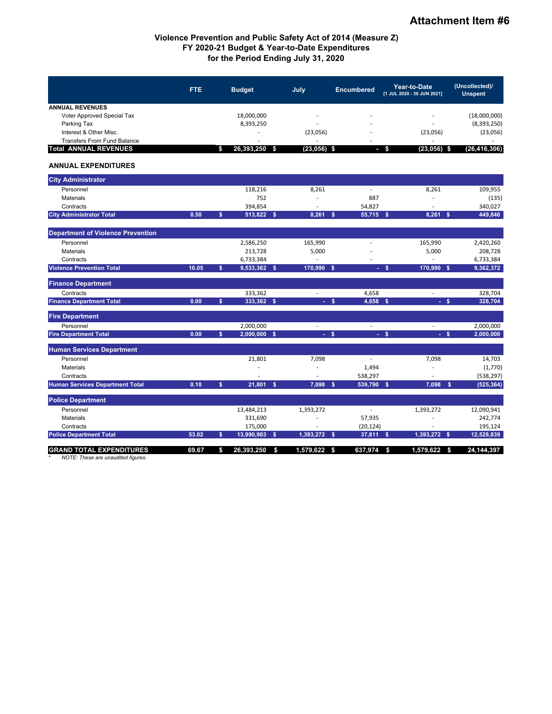#### **Violence Prevention and Public Safety Act of 2014 (Measure Z) FY 2020-21 Budget & Year-to-Date Expenditures for the Period Ending July 31, 2020**

|                                              | <b>FTE</b> |              | <b>Budget</b>         | July                              | <b>Encumbered</b>           | Year-to-Date<br>[1 JUL 2020 - 30 JUN 2021] | (Uncollected)/<br><b>Unspent</b> |
|----------------------------------------------|------------|--------------|-----------------------|-----------------------------------|-----------------------------|--------------------------------------------|----------------------------------|
| <b>ANNUAL REVENUES</b>                       |            |              |                       |                                   |                             |                                            |                                  |
| Voter Approved Special Tax                   |            |              | 18,000,000            |                                   |                             |                                            | (18,000,000)                     |
| Parking Tax                                  |            |              | 8,393,250             |                                   |                             |                                            | (8,393,250)                      |
| Interest & Other Misc.                       |            |              |                       | (23,056)                          |                             | (23,056)                                   | (23,056)                         |
| <b>Transfers From Fund Balance</b>           |            |              |                       |                                   |                             |                                            |                                  |
| <b>Total ANNUAL REVENUES</b>                 |            | \$           | 26,393,250            | $(23, 056)$ \$<br>\$              |                             | (23, 056)<br>\$                            | (26, 416, 306)<br>-S             |
| <b>ANNUAL EXPENDITURES</b>                   |            |              |                       |                                   |                             |                                            |                                  |
| <b>City Administrator</b>                    |            |              |                       |                                   |                             |                                            |                                  |
| Personnel                                    |            |              | 118,216               | 8,261                             | $\mathbf{r}$                | 8,261                                      | 109,955                          |
| <b>Materials</b>                             |            |              | 752                   |                                   | 887                         |                                            | (135)                            |
| Contracts                                    |            |              | 394,854               |                                   | 54,827                      |                                            | 340,027                          |
| <b>City Administrator Total</b>              | 0.50       | $\mathsf{s}$ | 513,822               | 8,261<br>-\$                      | - \$<br>55,715 \$           | $8,261$ \$                                 | 449,846                          |
| <b>Department of Violence Prevention</b>     |            |              |                       |                                   |                             |                                            |                                  |
| Personnel                                    |            |              |                       |                                   |                             |                                            |                                  |
| Materials                                    |            |              | 2,586,250<br>213,728  | 165,990                           |                             | 165,990                                    | 2,420,260<br>208,728             |
| Contracts                                    |            |              | 6,733,384             | 5,000<br>$\overline{\phantom{a}}$ |                             | 5,000<br>$\overline{\phantom{a}}$          | 6,733,384                        |
| <b>Violence Prevention Total</b>             | 16.05      | $\mathbf{s}$ | 9,533,362             | <b>S</b><br>170,990 \$            | ÷                           | $\mathbf{s}$<br>170,990 \$                 | 9,362,372                        |
| <b>Finance Department</b>                    |            |              |                       |                                   |                             |                                            |                                  |
|                                              |            |              |                       |                                   |                             |                                            |                                  |
| Contracts<br><b>Finance Department Total</b> | 0.00       | \$           | 333,362<br>333,362 \$ | $-$ \$                            | 4,658<br>4,658 \$           | $-$ \$                                     | 328,704<br>328,704               |
|                                              |            |              |                       |                                   |                             |                                            |                                  |
| <b>Fire Department</b>                       |            |              |                       |                                   |                             |                                            |                                  |
| Personnel                                    |            |              | 2,000,000             | $\sim$                            | $\mathcal{L}_{\mathcal{A}}$ | $\mathcal{L}$                              | 2,000,000                        |
| <b>Fire Department Total</b>                 | 0.00       | s            | $2,000,000$ \$        | $-$ \$                            |                             | $-$ \$<br>$-$ \$                           | 2,000,000                        |
| <b>Human Services Department</b>             |            |              |                       |                                   |                             |                                            |                                  |
| Personnel                                    |            |              | 21,801                | 7,098                             | $\overline{\phantom{a}}$    | 7,098                                      | 14,703                           |
| Materials                                    |            |              |                       |                                   | 1,494                       |                                            | (1,770)                          |
| Contracts                                    |            |              |                       | $\overline{\phantom{a}}$          | 538,297                     | $\overline{\phantom{a}}$                   | (538, 297)                       |
| <b>Human Services Department Total</b>       | 0.10       | $\mathbf{s}$ | 21,801                | <b>s</b><br>7,098 \$              | 539,790 \$                  | 7,098 \$                                   | (525, 364)                       |
| <b>Police Department</b>                     |            |              |                       |                                   |                             |                                            |                                  |
| Personnel                                    |            |              | 13,484,213            | 1,393,272                         | $\overline{\phantom{a}}$    | 1,393,272                                  | 12,090,941                       |
| <b>Materials</b>                             |            |              | 331,690               |                                   | 57,935                      |                                            | 242,774                          |
| Contracts                                    |            |              | 175,000               |                                   | (20, 124)                   |                                            | 195,124                          |
| <b>Police Department Total</b>               | 53.02      | s            | 13,990,903            | <b>S</b><br>1,393,272 \$          | 37,811                      | 1.393.272 \$<br>- \$                       | 12,528,839                       |
| <b>GRAND TOTAL EXPENDITURES</b>              | 69.67      | \$           | 26,393,250            | 1,579,622<br>\$                   | 637,974<br>- \$             | 1,579,622<br>-S                            | 24, 144, 397<br>- \$             |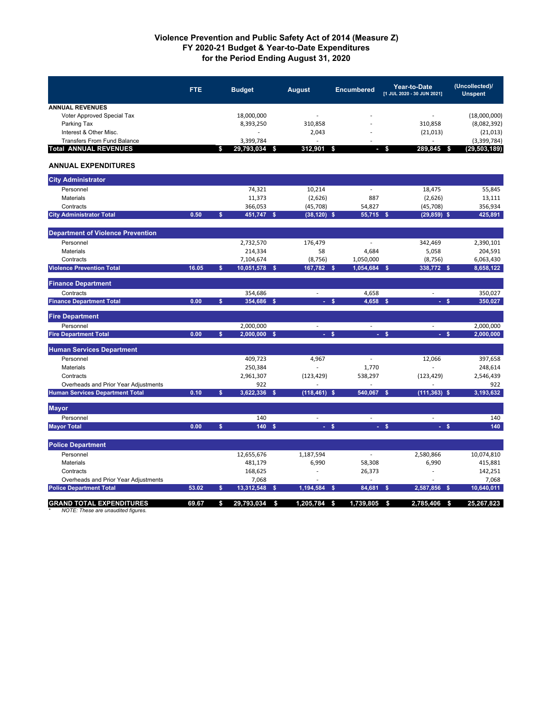#### **Violence Prevention and Public Safety Act of 2014 (Measure Z) FY 2020-21 Budget & Year-to-Date Expenditures for the Period Ending August 31, 2020**

|                                          | <b>FTE</b> |              | <b>Budget</b> |              | <b>August</b>            | <b>Encumbered</b>        | Year-to-Date<br>[1 JUL 2020 - 30 JUN 2021] | (Uncollected)/<br><b>Unspent</b> |
|------------------------------------------|------------|--------------|---------------|--------------|--------------------------|--------------------------|--------------------------------------------|----------------------------------|
| <b>ANNUAL REVENUES</b>                   |            |              |               |              |                          |                          |                                            |                                  |
| Voter Approved Special Tax               |            |              | 18,000,000    |              |                          |                          |                                            | (18,000,000)                     |
| Parking Tax                              |            |              | 8,393,250     |              | 310,858                  |                          | 310,858                                    | (8,082,392)                      |
| Interest & Other Misc.                   |            |              |               |              | 2,043                    |                          | (21, 013)                                  | (21, 013)                        |
| <b>Transfers From Fund Balance</b>       |            |              | 3,399,784     |              |                          |                          |                                            | (3,399,784)                      |
| <b>Total ANNUAL REVENUES</b>             |            |              | 29,793,034    | -S           | 312,901                  | -S                       | 289,845<br>\$                              | (29, 503, 189)                   |
| <b>ANNUAL EXPENDITURES</b>               |            |              |               |              |                          |                          |                                            |                                  |
| <b>City Administrator</b>                |            |              |               |              |                          |                          |                                            |                                  |
| Personnel                                |            |              | 74,321        |              | 10,214                   | $\overline{\phantom{a}}$ | 18,475                                     | 55,845                           |
| <b>Materials</b>                         |            |              | 11,373        |              | (2,626)                  | 887                      | (2,626)                                    | 13,111                           |
| Contracts                                |            |              | 366,053       |              | (45, 708)                | 54,827                   | (45, 708)                                  | 356,934                          |
| <b>City Administrator Total</b>          | 0.50       | s.           | 451,747       | <b>S</b>     | $(38, 120)$ \$           | 55,715 \$                | $(29, 859)$ \$                             | 425,891                          |
| <b>Department of Violence Prevention</b> |            |              |               |              |                          |                          |                                            |                                  |
| Personnel                                |            |              | 2,732,570     |              | 176,479                  |                          | 342,469                                    | 2,390,101                        |
| <b>Materials</b>                         |            |              | 214,334       |              | 58                       | 4,684                    | 5,058                                      | 204,591                          |
| Contracts                                |            |              | 7,104,674     |              | (8, 756)                 | 1,050,000                | (8, 756)                                   | 6,063,430                        |
| <b>Violence Prevention Total</b>         | 16.05      | $\mathbf{s}$ | 10,051,578    | -S           | 167,782 \$               | 1,054,684                | 338,772 \$<br>- \$                         | 8,658,122                        |
| <b>Finance Department</b>                |            |              |               |              |                          |                          |                                            |                                  |
| Contracts                                |            |              | 354,686       |              | $\overline{\phantom{a}}$ | 4,658                    | $\overline{\phantom{a}}$                   | 350,027                          |
| <b>Finance Department Total</b>          | 0.00       | \$           | 354,686       | -S           | ×.                       | 4,658 \$<br><b>S</b>     | $-$ \$                                     | 350,027                          |
| <b>Fire Department</b>                   |            |              |               |              |                          |                          |                                            |                                  |
| Personnel                                |            |              | 2,000,000     |              | $\overline{\phantom{a}}$ | $\overline{\phantom{a}}$ | $\overline{\phantom{a}}$                   | 2,000,000                        |
| <b>Fire Department Total</b>             | 0.00       | $\mathbf{s}$ | 2,000,000     | <b>s</b>     | $-5$                     |                          | $-5$<br>$-5$                               | 2,000,000                        |
| <b>Human Services Department</b>         |            |              |               |              |                          |                          |                                            |                                  |
| Personnel                                |            |              | 409,723       |              | 4,967                    | $\mathcal{L}$            | 12,066                                     | 397,658                          |
| <b>Materials</b>                         |            |              | 250,384       |              |                          | 1.770                    |                                            | 248,614                          |
| Contracts                                |            |              | 2,961,307     |              | (123, 429)               | 538,297                  | (123, 429)                                 | 2,546,439                        |
| Overheads and Prior Year Adjustments     |            |              | 922           |              |                          |                          |                                            | 922                              |
| <b>Human Services Department Total</b>   | 0.10       | $\mathsf{s}$ | 3,622,336     | s.           | $(118, 461)$ \$          | 540,067 \$               | $(111, 363)$ \$                            | 3,193,632                        |
| <b>Mayor</b>                             |            |              |               |              |                          |                          |                                            |                                  |
| Personnel                                |            |              | 140           |              | $\mathcal{L}$            | $\sim$                   | $\mathcal{L}$                              | 140                              |
| <b>Mayor Total</b>                       | 0.00       | $\mathsf{s}$ | 140           | $\mathbf{s}$ | $-5$                     |                          | $-5$<br>$-$ \$                             | 140                              |
| <b>Police Department</b>                 |            |              |               |              |                          |                          |                                            |                                  |
| Personnel                                |            |              | 12,655,676    |              | 1,187,594                | $\mathcal{L}$            | 2,580,866                                  | 10,074,810                       |
| <b>Materials</b>                         |            |              | 481,179       |              | 6,990                    | 58,308                   | 6,990                                      | 415,881                          |
| Contracts                                |            |              | 168,625       |              |                          | 26,373                   |                                            | 142,251                          |
| Overheads and Prior Year Adjustments     |            |              | 7,068         |              |                          |                          |                                            | 7,068                            |
| <b>Police Department Total</b>           | 53.02      | $\mathbf{s}$ | 13,312,548    | s.           | 1,194,584                | 84,681<br>-S             | 2,587,856 \$<br>-S                         | 10,640,011                       |

**GRAND TOTAL EXPENDITURES 69.67 29,793,03 \$ 1,205,78 4 \$ 1,739,80 4 \$ 2,785,406 5 \$ 25,267,823 \$**  \* *NOTE: These are unaudited figures.*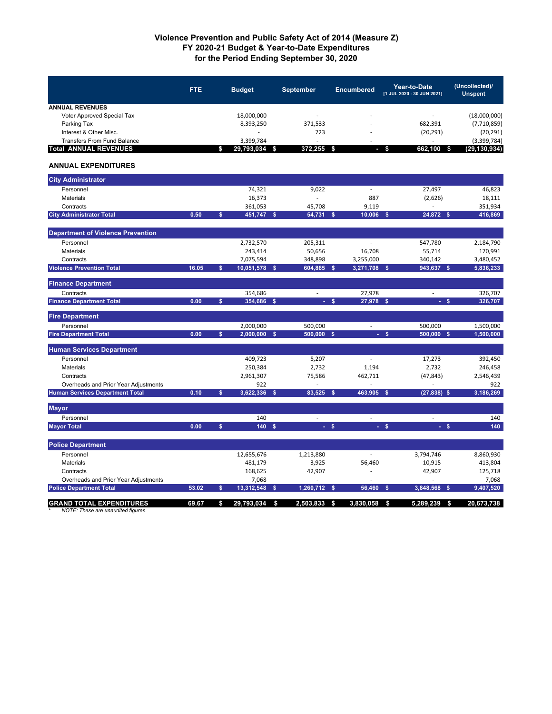#### **Violence Prevention and Public Safety Act of 2014 (Measure Z) FY 2020-21 Budget & Year-to-Date Expenditures for the Period Ending September 30, 2020**

|                                          | <b>FTE</b> |    | <b>Budget</b> | <b>September</b>        | <b>Encumbered</b>           | Year-to-Date<br>[1 JUL 2020 - 30 JUN 2021] | (Uncollected)/<br><b>Unspent</b> |
|------------------------------------------|------------|----|---------------|-------------------------|-----------------------------|--------------------------------------------|----------------------------------|
| <b>ANNUAL REVENUES</b>                   |            |    |               |                         |                             |                                            |                                  |
| Voter Approved Special Tax               |            |    | 18,000,000    |                         |                             |                                            | (18,000,000)                     |
| Parking Tax                              |            |    | 8,393,250     | 371,533                 |                             | 682,391                                    | (7,710,859)                      |
| Interest & Other Misc.                   |            |    | $\sim$        | 723                     |                             | (20, 291)                                  | (20, 291)                        |
| <b>Transfers From Fund Balance</b>       |            |    | 3,399,784     |                         |                             |                                            | (3,399,784)                      |
| <b>Total ANNUAL REVENUES</b>             |            | S  | 29.793.034    | 372.255<br>S            | -S<br>а                     | 662,100<br>\$                              | (29,130,934)<br>- 3              |
| <b>ANNUAL EXPENDITURES</b>               |            |    |               |                         |                             |                                            |                                  |
| <b>City Administrator</b>                |            |    |               |                         |                             |                                            |                                  |
| Personnel                                |            |    | 74,321        | 9,022                   | L.                          | 27,497                                     | 46,823                           |
| <b>Materials</b>                         |            |    | 16,373        | L,                      | 887                         | (2,626)                                    | 18,111                           |
| Contracts                                |            |    | 361,053       | 45,708                  | 9,119                       | $\overline{a}$                             | 351,934                          |
| <b>City Administrator Total</b>          | 0.50       | \$ | 451,747 \$    | 54,731 \$               | $10,006$ \$                 | 24,872 \$                                  | 416,869                          |
| <b>Department of Violence Prevention</b> |            |    |               |                         |                             |                                            |                                  |
| Personnel                                |            |    | 2,732,570     | 205,311                 | $\mathcal{L}_{\mathcal{A}}$ | 547,780                                    | 2,184,790                        |
| <b>Materials</b>                         |            |    | 243,414       | 50,656                  | 16,708                      | 55,714                                     | 170,991                          |
| Contracts                                |            |    | 7,075,594     | 348,898                 | 3,255,000                   | 340,142                                    | 3,480,452                        |
| <b>Violence Prevention Total</b>         | 16.05      | \$ | 10,051,578    | 604,865<br>$\mathbf{s}$ | 3,271,708 \$<br>- \$        | 943,637 \$                                 | 5,836,233                        |
| <b>Finance Department</b>                |            |    |               |                         |                             |                                            |                                  |
| Contracts                                |            |    | 354,686       | ÷.                      | 27,978                      | $\mathbf{r}$                               | 326,707                          |
| <b>Finance Department Total</b>          | 0.00       | s. | 354,686 \$    |                         | 27,978 \$<br>$-5$           | $-5$                                       | 326,707                          |
| <b>Fire Department</b>                   |            |    |               |                         |                             |                                            |                                  |
| Personnel                                |            |    | 2,000,000     | 500,000                 | ÷                           | 500.000                                    | 1,500,000                        |
| <b>Fire Department Total</b>             | 0.00       | s. | 2,000,000     | 500,000 \$<br>-S        |                             | $-$ \$<br>500,000 \$                       | 1,500,000                        |
| <b>Human Services Department</b>         |            |    |               |                         |                             |                                            |                                  |
| Personnel                                |            |    | 409,723       | 5,207                   | ÷                           | 17,273                                     | 392,450                          |
| <b>Materials</b>                         |            |    | 250,384       | 2,732                   | 1,194                       | 2,732                                      | 246,458                          |
| Contracts                                |            |    | 2,961,307     | 75,586                  | 462,711                     | (47, 843)                                  | 2,546,439                        |
| Overheads and Prior Year Adjustments     |            |    | 922           | ä,                      | ÷,                          | $\overline{a}$                             | 922                              |
| <b>Human Services Department Total</b>   | 0.10       | s. | 3,622,336     | $\mathbf{s}$<br>83,525  | 463,905<br>-S               | -\$<br>$(27, 838)$ \$                      | 3,186,269                        |
| <b>Mayor</b>                             |            |    |               |                         |                             |                                            |                                  |
| Personnel                                |            |    | 140           | $\sim$                  | $\overline{\phantom{a}}$    | $\blacksquare$                             | 140                              |
| <b>Mayor Total</b>                       | 0.00       | \$ | 140           | $\boldsymbol{\$}$       | $-$ s                       | $-$ \$<br>a.                               | $\mathbf{s}$<br>140              |
| <b>Police Department</b>                 |            |    |               |                         |                             |                                            |                                  |
| Personnel                                |            |    | 12,655,676    | 1,213,880               | $\sim$                      | 3,794,746                                  | 8,860,930                        |
| <b>Materials</b>                         |            |    | 481,179       | 3,925                   | 56,460                      | 10,915                                     | 413,804                          |
| Contracts                                |            |    | 168,625       | 42,907                  | ä,                          | 42,907                                     | 125,718                          |
| Overheads and Prior Year Adjustments     |            |    | 7,068         | $\frac{1}{2}$           | ÷,                          | $\mathcal{L}$                              | 7,068                            |
|                                          |            |    |               |                         |                             |                                            |                                  |

**Police Department Total 53.02 \$ 13,312,548 \$ 1,260,712 \$ 56,460 \$ 3,848,568 \$ 9,407,520 GRAND TOTAL EXPENDITURES 69.67 29,793,03 \$ 2,503,833 4 \$ 3,830,058 \$ 5,289,239 \$ 20,673,738 \$**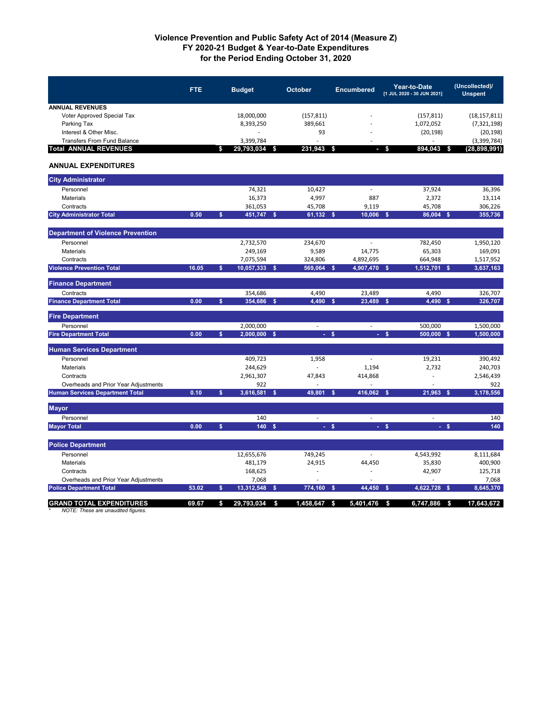#### **Violence Prevention and Public Safety Act of 2014 (Measure Z) FY 2020-21 Budget & Year-to-Date Expenditures for the Period Ending October 31, 2020**

| <b>ANNUAL REVENUES</b><br>Voter Approved Special Tax<br>18,000,000<br>(157, 811)<br>(157, 811)<br>(18, 157, 811)<br>Parking Tax<br>8,393,250<br>389,661<br>1,072,052<br>Interest & Other Misc.<br>93<br>(20, 198)<br><b>Transfers From Fund Balance</b><br>3,399,784<br>231,943 \$<br><b>Total ANNUAL REVENUES</b><br>894,043<br>(28, 898, 991)<br>29,793,034 \$<br>\$<br>\$<br>ы<br>-S<br><b>ANNUAL EXPENDITURES</b><br><b>City Administrator</b><br>Personnel<br>74,321<br>10,427<br>37,924<br>÷, | (Uncollected)/<br><b>Unspent</b> |
|-----------------------------------------------------------------------------------------------------------------------------------------------------------------------------------------------------------------------------------------------------------------------------------------------------------------------------------------------------------------------------------------------------------------------------------------------------------------------------------------------------|----------------------------------|
|                                                                                                                                                                                                                                                                                                                                                                                                                                                                                                     |                                  |
|                                                                                                                                                                                                                                                                                                                                                                                                                                                                                                     |                                  |
|                                                                                                                                                                                                                                                                                                                                                                                                                                                                                                     | (7, 321, 198)                    |
|                                                                                                                                                                                                                                                                                                                                                                                                                                                                                                     | (20, 198)                        |
|                                                                                                                                                                                                                                                                                                                                                                                                                                                                                                     | (3,399,784)                      |
|                                                                                                                                                                                                                                                                                                                                                                                                                                                                                                     |                                  |
|                                                                                                                                                                                                                                                                                                                                                                                                                                                                                                     |                                  |
|                                                                                                                                                                                                                                                                                                                                                                                                                                                                                                     |                                  |
|                                                                                                                                                                                                                                                                                                                                                                                                                                                                                                     | 36,396                           |
| 2,372<br>Materials<br>16,373<br>4,997<br>887                                                                                                                                                                                                                                                                                                                                                                                                                                                        | 13,114                           |
| Contracts<br>361,053<br>45,708<br>9,119<br>45,708                                                                                                                                                                                                                                                                                                                                                                                                                                                   | 306,226                          |
| $\mathbf{s}$<br>10,006 \$<br>86,004 \$<br><b>City Administrator Total</b><br>0.50<br>451,747<br>$\mathbf{s}$<br>$61,132$ \$                                                                                                                                                                                                                                                                                                                                                                         | 355,736                          |
| <b>Department of Violence Prevention</b>                                                                                                                                                                                                                                                                                                                                                                                                                                                            |                                  |
| Personnel<br>2,732,570<br>234,670<br>782,450<br>÷                                                                                                                                                                                                                                                                                                                                                                                                                                                   | 1,950,120                        |
| Materials<br>249,169<br>9,589<br>14,775<br>65,303                                                                                                                                                                                                                                                                                                                                                                                                                                                   | 169,091                          |
| Contracts<br>7,075,594<br>324,806<br>4,892,695<br>664,948                                                                                                                                                                                                                                                                                                                                                                                                                                           | 1,517,952                        |
| 16.05<br>$\mathbf{s}$<br>569,064<br>1,512,701 \$<br><b>Violence Prevention Total</b><br>10,057,333<br>$\mathbf{s}$<br>4,907,470 \$<br>s.                                                                                                                                                                                                                                                                                                                                                            | 3,637,163                        |
| <b>Finance Department</b>                                                                                                                                                                                                                                                                                                                                                                                                                                                                           |                                  |
| 354,686<br>4,490<br>23,489<br>4,490<br>Contracts                                                                                                                                                                                                                                                                                                                                                                                                                                                    | 326,707                          |
| 0.00<br>354.686<br>4.490 \$<br>23.489<br>4.490 \$<br><b>Finance Department Total</b><br>s.<br><b>S</b><br><b>s</b>                                                                                                                                                                                                                                                                                                                                                                                  | 326,707                          |
| <b>Fire Department</b>                                                                                                                                                                                                                                                                                                                                                                                                                                                                              |                                  |
| Personnel<br>2,000,000<br>500,000<br>÷,<br>÷,                                                                                                                                                                                                                                                                                                                                                                                                                                                       | 1,500,000                        |
| 0.00<br>$\mathbf{s}$<br>2,000,000<br>-\$<br>500,000 \$<br><b>Fire Department Total</b><br><sup>\$</sup><br>A.<br>÷.<br><b>S</b>                                                                                                                                                                                                                                                                                                                                                                     | 1,500,000                        |
| <b>Human Services Department</b>                                                                                                                                                                                                                                                                                                                                                                                                                                                                    |                                  |
| Personnel<br>409,723<br>1,958<br>19,231<br>÷.                                                                                                                                                                                                                                                                                                                                                                                                                                                       | 390,492                          |
| 1,194<br>2,732<br>Materials<br>244,629                                                                                                                                                                                                                                                                                                                                                                                                                                                              | 240,703                          |
| 2,961,307<br>47,843<br>414,868<br>Contracts<br>÷,                                                                                                                                                                                                                                                                                                                                                                                                                                                   | 2,546,439                        |
| 922<br>Overheads and Prior Year Adjustments                                                                                                                                                                                                                                                                                                                                                                                                                                                         | 922                              |
| <b>Human Services Department Total</b><br>0.10<br>s.<br>3,616,581<br>$\mathbf{s}$<br><b>S</b><br>416,062<br>$\mathbf{s}$<br>21,963<br>49,801<br>-S                                                                                                                                                                                                                                                                                                                                                  | 3,178,556                        |
| <b>Mayor</b>                                                                                                                                                                                                                                                                                                                                                                                                                                                                                        |                                  |
| Personnel<br>140<br>$\mathcal{L}_{\mathcal{A}}$<br>$\overline{\phantom{a}}$<br>÷                                                                                                                                                                                                                                                                                                                                                                                                                    |                                  |
| $\mathbf{s}$<br>$-5$<br>$-$ \$<br>$-$ \$<br><b>Mayor Total</b><br>0.00<br>s.<br>140                                                                                                                                                                                                                                                                                                                                                                                                                 | 140                              |
| <b>Police Department</b>                                                                                                                                                                                                                                                                                                                                                                                                                                                                            | 140                              |
| 4,543,992<br>Personnel<br>12,655,676<br>749,245<br>÷                                                                                                                                                                                                                                                                                                                                                                                                                                                |                                  |
| <b>Materials</b><br>481,179<br>24,915<br>44,450<br>35,830                                                                                                                                                                                                                                                                                                                                                                                                                                           |                                  |
| 168,625<br>42,907<br>Contracts                                                                                                                                                                                                                                                                                                                                                                                                                                                                      | 8,111,684                        |
| 7,068<br>Overheads and Prior Year Adjustments<br>L,                                                                                                                                                                                                                                                                                                                                                                                                                                                 | 400,900                          |
| 4,622,728 \$<br>8,645,370<br><b>Police Department Total</b><br>53.02<br>s.<br>13,312,548<br>$\mathbf{s}$<br>774,160 \$<br>44,450 \$                                                                                                                                                                                                                                                                                                                                                                 | 125,718<br>7,068                 |

**GRAND TOTAL EXPENDITURES 69.67 29,793,034 \$ 1,458,647 \$ 5,401,476 \$ 6,747,886 \$ 17,643,672 \$**  \* *NOTE: These are unaudited figures.*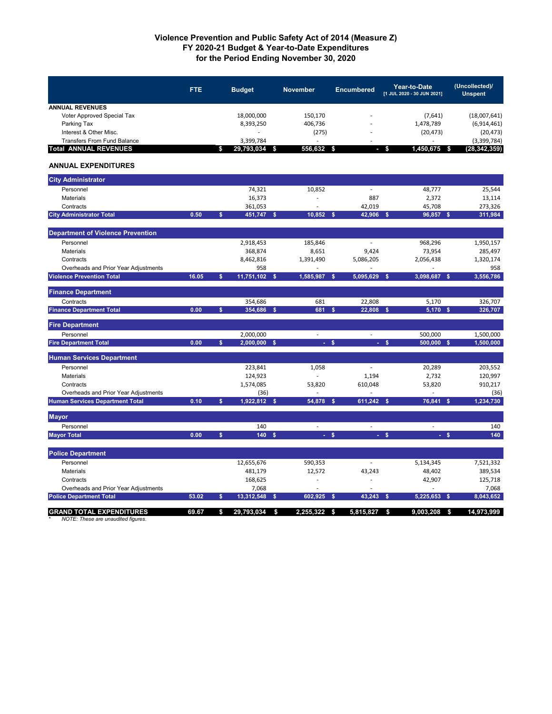#### **Violence Prevention and Public Safety Act of 2014 (Measure Z) FY 2020-21 Budget & Year-to-Date Expenditures for the Period Ending November 30, 2020**

|                                    | FTE. | <b>Budget</b>            | <b>November</b> | <b>Encumbered</b> | Year-to-Date<br>[1 JUL 2020 - 30 JUN 2021] | (Uncollected)/<br><b>Unspent</b> |
|------------------------------------|------|--------------------------|-----------------|-------------------|--------------------------------------------|----------------------------------|
| <b>ANNUAL REVENUES</b>             |      |                          |                 |                   |                                            |                                  |
| Voter Approved Special Tax         |      | 18,000,000               | 150,170         |                   | (7,641)                                    | (18,007,641)                     |
| Parking Tax                        |      | 8,393,250                | 406.736         |                   | 1,478,789                                  | (6,914,461)                      |
| Interest & Other Misc.             |      | $\overline{\phantom{a}}$ | (275)           | ۰                 | (20, 473)                                  | (20, 473)                        |
| <b>Transfers From Fund Balance</b> |      | 3,399,784                | ۰               | ٠                 | $\overline{\phantom{a}}$                   | (3,399,784)                      |
| <b>Total ANNUAL REVENUES</b>       |      | 29,793,034               | 556,632 \$<br>S |                   | 1,450,675 \$<br>S                          | (28, 342, 359)                   |
| <b>ANNUAL EXPENDITURES</b>         |      |                          |                 |                   |                                            |                                  |
| <b>City Administrator</b>          |      |                          |                 |                   |                                            |                                  |

| <b>GRAND TOTAL EXPENDITURES</b>                                        | 69.67 | \$ | 29,793,034            | \$           | 2.255.322                | 5,815,827<br>\$          | \$     | 9,003,208                | \$<br>14,973,999   |
|------------------------------------------------------------------------|-------|----|-----------------------|--------------|--------------------------|--------------------------|--------|--------------------------|--------------------|
|                                                                        |       |    |                       |              |                          |                          |        |                          |                    |
| Overheads and Prior Year Adjustments<br><b>Police Department Total</b> | 53.02 | \$ | 13,312,548            | <b>S</b>     | 602,925                  | - \$<br>43,243 \$        |        | 5,225,653 \$             | 8,043,652          |
| Contracts                                                              |       |    | 168,625<br>7,068      |              | ٠                        |                          |        | 42,907                   | 125,718<br>7,068   |
| <b>Materials</b>                                                       |       |    | 481,179               |              | 12,572                   | 43,243                   |        | 48,402                   | 389,534            |
| Personnel                                                              |       |    | 12,655,676            |              | 590,353                  |                          |        | 5,134,345                | 7,521,332          |
| <b>Police Department</b>                                               |       |    |                       |              |                          |                          |        |                          |                    |
|                                                                        |       |    |                       |              |                          |                          |        |                          |                    |
| <b>Mayor Total</b>                                                     | 0.00  | s. | 140                   | $\mathbf{s}$ | $-5$                     |                          | $-$ \$ | $-$ \$                   | 140                |
| Personnel                                                              |       |    | 140                   |              |                          | ÷.                       |        | $\overline{\phantom{a}}$ | 140                |
| <b>Mayor</b>                                                           |       |    |                       |              |                          |                          |        |                          |                    |
|                                                                        |       |    |                       |              |                          |                          |        |                          |                    |
| <b>Human Services Department Total</b>                                 | 0.10  | s. | 1,922,812 \$          |              | 54,878 \$                | 611,242 \$               |        | 76,841 \$                | 1,234,730          |
| Overheads and Prior Year Adjustments                                   |       |    | (36)                  |              | $\sim$                   |                          |        | $\overline{\phantom{a}}$ | (36)               |
| Contracts                                                              |       |    | 1,574,085             |              | 53,820                   | 610,048                  |        | 53,820                   | 910,217            |
| <b>Materials</b>                                                       |       |    | 223,841<br>124,923    |              | 1,058                    | 1,194                    |        | 20,289<br>2,732          | 203,552<br>120,997 |
| Personnel                                                              |       |    |                       |              |                          |                          |        |                          |                    |
| <b>Human Services Department</b>                                       |       |    |                       |              |                          |                          |        |                          |                    |
| <b>Fire Department Total</b>                                           | 0.00  | \$ | $2,000,000$ \$        |              | $-5$                     |                          | $-5$   | 500,000 \$               | 1,500,000          |
| Personnel                                                              |       |    | 2,000,000             |              | $\overline{\phantom{a}}$ |                          |        | 500,000                  | 1,500,000          |
| <b>Fire Department</b>                                                 |       |    |                       |              |                          |                          |        |                          |                    |
|                                                                        |       |    |                       |              |                          |                          |        |                          |                    |
| Contracts<br><b>Finance Department Total</b>                           | 0.00  | \$ | 354,686<br>354,686 \$ |              | 681<br>681 \$            | 22,808<br>22,808 \$      |        | 5,170<br>5,170 \$        | 326,707<br>326,707 |
|                                                                        |       |    |                       |              |                          |                          |        |                          |                    |
| <b>Finance Department</b>                                              |       |    |                       |              |                          |                          |        |                          |                    |
| <b>Violence Prevention Total</b>                                       | 16.05 | \$ | 11,751,102            | -S           | 1,585,987 \$             | 5,095,629 \$             |        | 3,098,687 \$             | 3,556,786          |
| Overheads and Prior Year Adjustments                                   |       |    | 958                   |              | $\overline{\phantom{a}}$ | ÷,                       |        | $\overline{\phantom{a}}$ | 958                |
| Contracts                                                              |       |    | 8,462,816             |              | 1,391,490                | 5,086,205                |        | 2,056,438                | 1,320,174          |
| <b>Materials</b>                                                       |       |    | 368,874               |              | 8,651                    | 9,424                    |        | 73,954                   | 285,497            |
| Personnel                                                              |       |    | 2,918,453             |              | 185,846                  | $\overline{\phantom{a}}$ |        | 968,296                  | 1,950,157          |
| <b>Department of Violence Prevention</b>                               |       |    |                       |              |                          |                          |        |                          |                    |
|                                                                        |       |    |                       |              |                          |                          |        |                          |                    |
| <b>City Administrator Total</b>                                        | 0.50  | \$ | 451,747 \$            |              | $10,852$ \$              | 42,906 \$                |        | 96,857 \$                | 311,984            |
| Contracts                                                              |       |    | 361,053               |              |                          | 42,019                   |        | 45,708                   | 273,326            |
| <b>Materials</b>                                                       |       |    | 16,373                |              |                          | 887                      |        | 2,372                    | 13,114             |
| Personnel                                                              |       |    | 74,321                |              | 10,852                   |                          |        | 48,777                   | 25,544             |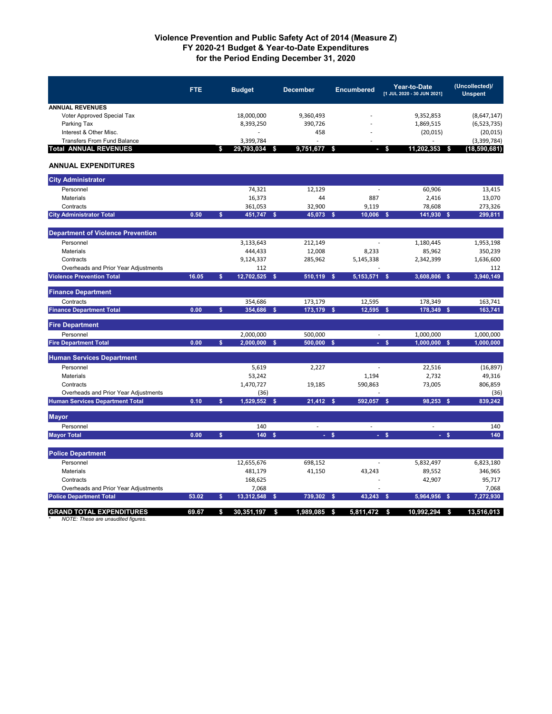#### **Violence Prevention and Public Safety Act of 2014 (Measure Z) FY 2020-21 Budget & Year-to-Date Expenditures for the Period Ending December 31, 2020**

|                                          | FTE. |    | <b>Budget</b> | <b>December</b> | <b>Encumbered</b> | Year-to-Date<br>[1 JUL 2020 - 30 JUN 2021] | (Uncollected)/<br><b>Unspent</b> |
|------------------------------------------|------|----|---------------|-----------------|-------------------|--------------------------------------------|----------------------------------|
| <b>ANNUAL REVENUES</b>                   |      |    |               |                 |                   |                                            |                                  |
| Voter Approved Special Tax               |      |    | 18,000,000    | 9,360,493       |                   | 9,352,853                                  | (8,647,147)                      |
| Parking Tax                              |      |    | 8,393,250     | 390,726         | ۰                 | 1,869,515                                  | (6,523,735)                      |
| Interest & Other Misc.                   |      |    |               | 458             | ۰                 | (20, 015)                                  | (20, 015)                        |
| <b>Transfers From Fund Balance</b>       |      |    | 3,399,784     | ٠               | ٠                 |                                            | (3,399,784)                      |
| <b>Total ANNUAL REVENUES</b>             |      | \$ | 29,793,034    | 9,751,677<br>\$ | -S<br>ı           | 11,202,353<br>\$                           | (18,590,681)<br>S                |
| <b>ANNUAL EXPENDITURES</b>               |      |    |               |                 |                   |                                            |                                  |
| <b>City Administrator</b>                |      |    |               |                 |                   |                                            |                                  |
| Personnel                                |      |    | 74,321        | 12,129          |                   | 60,906                                     | 13,415                           |
| Materials                                |      |    | 16,373        | 44              | 887               | 2,416                                      | 13,070                           |
| Contracts                                |      |    | 361,053       | 32,900          | 9,119             | 78,608                                     | 273,326                          |
| <b>City Administrator Total</b>          | 0.50 | s. | 451,747       | s.<br>45,073 \$ | 10,006            | 141,930 \$<br>- \$                         | 299,811                          |
| <b>Department of Violence Prevention</b> |      |    |               |                 |                   |                                            |                                  |
| Personnel                                |      |    | 3,133,643     | 212,149         |                   | 1,180,445                                  | 1,953,198                        |
| <b>Materials</b>                         |      |    | 444,433       | 12,008          | 8,233             | 85,962                                     | 350,239                          |
| Contracts                                |      |    | 9,124,337     | 285,962         | 5,145,338         | 2,342,399                                  | 1,636,600                        |

| Overheads and Prior Year Adjustments   |       |              | 112        |    |                          |        |           |      |              |      | 112       |
|----------------------------------------|-------|--------------|------------|----|--------------------------|--------|-----------|------|--------------|------|-----------|
| <b>Violence Prevention Total</b>       | 16.05 | \$           | 12,702,525 | s. | 510,119 \$               |        | 5,153,571 | - 5  | 3,608,806 \$ |      | 3,940,149 |
| <b>Finance Department</b>              |       |              |            |    |                          |        |           |      |              |      |           |
| Contracts                              |       |              | 354,686    |    | 173,179                  |        | 12,595    |      | 178,349      |      | 163,741   |
| <b>Finance Department Total</b>        | 0.00  | \$           | 354,686    | s. | 173,179                  | - \$   | 12,595    | - \$ | 178,349 \$   |      | 163,741   |
| <b>Fire Department</b>                 |       |              |            |    |                          |        |           |      |              |      |           |
| Personnel                              |       |              | 2,000,000  |    | 500,000                  |        | ٠         |      | 1,000,000    |      | 1,000,000 |
| <b>Fire Department Total</b>           | 0.00  | s            | 2,000,000  | s. | $500,000$ \$             |        | ×.        | -S   | 1,000,000    | - \$ | 1,000,000 |
| <b>Human Services Department</b>       |       |              |            |    |                          |        |           |      |              |      |           |
| Personnel                              |       |              | 5,619      |    | 2,227                    |        |           |      | 22,516       |      | (16, 897) |
| <b>Materials</b>                       |       |              | 53,242     |    |                          |        | 1,194     |      | 2,732        |      | 49,316    |
| Contracts                              |       |              | 1,470,727  |    | 19,185                   |        | 590,863   |      | 73,005       |      | 806,859   |
| Overheads and Prior Year Adjustments   |       |              | (36)       |    |                          |        |           |      |              |      | (36)      |
| <b>Human Services Department Total</b> | 0.10  | \$           | 1,529,552  | s  | $21,412$ \$              |        | 592,057   | -\$  | $98,253$ \$  |      | 839,242   |
| <b>Mayor</b>                           |       |              |            |    |                          |        |           |      |              |      |           |
| Personnel                              |       |              | 140        |    | $\overline{\phantom{a}}$ |        | ۰         |      | ۰            |      | 140       |
| <b>Mayor Total</b>                     | 0.00  | $\mathbf{s}$ | 140        | \$ |                          | $-$ \$ | ÷         | -\$  | ж.           | -\$  | 140       |

| <b>Police Department</b>             |       |            |     |           |    |                          |              |            |
|--------------------------------------|-------|------------|-----|-----------|----|--------------------------|--------------|------------|
| Personnel                            |       | 12,655,676 |     | 698,152   |    |                          | 5,832,497    | 6,823,180  |
| <b>Materials</b>                     |       | 481,179    |     | 41,150    |    | 43,243                   | 89,552       | 346,965    |
| Contracts                            |       | 168,625    |     |           |    | $\overline{\phantom{a}}$ | 42,907       | 95,717     |
| Overheads and Prior Year Adjustments |       | 7.068      |     |           |    |                          |              | 7.068      |
| <b>Police Department Total</b>       | 53.02 | 13,312,548 | ۱S. | 739,302   |    | $43,243$ \$              | 5,964,956 \$ | 7,272,930  |
| <b>GRAND TOTAL EXPENDITURES</b>      | 69.67 | 30,351,197 |     | 1,989,085 | -S | 5,811,472                | 10,992,294   | 13,516,013 |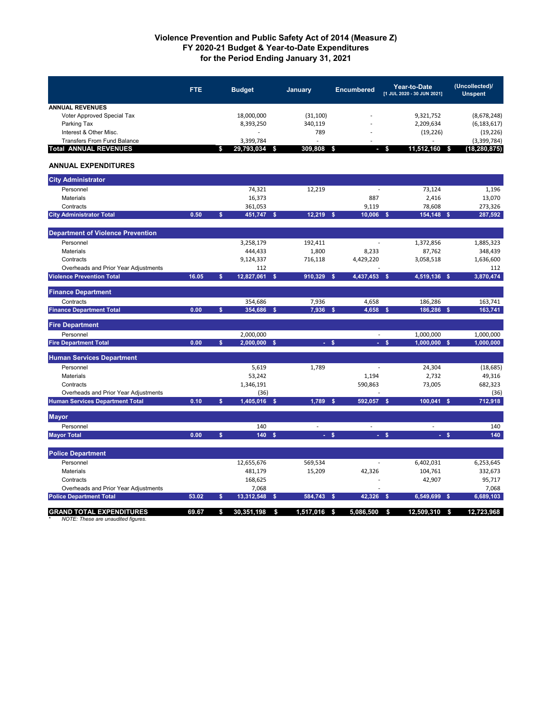#### **Violence Prevention and Public Safety Act of 2014 (Measure Z) FY 2020-21 Budget & Year-to-Date Expenditures for the Period Ending January 31, 2021**

|                              | <b>FTE</b> | <b>Budget</b> | January    | <b>Encumbered</b> | Year-to-Date<br>[1 JUL 2020 - 30 JUN 2021] | (Uncollected)/<br><b>Unspent</b> |
|------------------------------|------------|---------------|------------|-------------------|--------------------------------------------|----------------------------------|
| <b>ANNUAL REVENUES</b>       |            |               |            |                   |                                            |                                  |
| Voter Approved Special Tax   |            | 18,000,000    | (31, 100)  |                   | 9,321,752                                  | (8,678,248)                      |
| Parking Tax                  |            | 8,393,250     | 340,119    |                   | 2,209,634                                  | (6, 183, 617)                    |
| Interest & Other Misc.       |            |               | 789        |                   | (19, 226)                                  | (19, 226)                        |
| Transfers From Fund Balance  |            | 3.399.784     | . .        |                   | $\overline{\phantom{a}}$                   | (3,399,784)                      |
| <b>Total ANNUAL REVENUES</b> |            | 29,793,034    | 309,808 \$ |                   | 11.512.160                                 | (18, 280, 875)                   |

#### **ANNUAL EXPENDITURES**

| <b>GRAND TOTAL EXPENDITURES</b>          | 69.67 | \$           | 30,351,198     | \$           | 1,517,016     | \$           | 5,086,500      | \$           | 12,509,310 \$  | 12,723,968 |
|------------------------------------------|-------|--------------|----------------|--------------|---------------|--------------|----------------|--------------|----------------|------------|
| <b>Police Department Total</b>           | 53.02 | s.           | 13,312,548     | -\$          | 584,743 \$    |              | 42,326         | - \$         | 6,549,699 \$   | 6,689,103  |
| Overheads and Prior Year Adjustments     |       |              | 7,068          |              |               |              |                |              |                | 7,068      |
| Contracts                                |       |              | 168,625        |              |               |              |                |              | 42,907         | 95,717     |
| <b>Materials</b>                         |       |              | 481,179        |              | 15,209        |              | 42,326         |              | 104,761        | 332,673    |
| Personnel                                |       |              | 12,655,676     |              | 569,534       |              |                |              | 6,402,031      | 6,253,645  |
| <b>Police Department</b>                 |       |              |                |              |               |              |                |              |                |            |
|                                          |       |              |                |              |               |              |                |              |                |            |
| <b>Mayor Total</b>                       | 0.00  | s.           | 140S           |              |               | $-5$         |                | $-5$         | $-$ \$         | 140        |
| Personnel                                |       |              | 140            |              | $\mathcal{L}$ |              | $\mathcal{L}$  |              | $\mathcal{L}$  | 140        |
| <b>Mayor</b>                             |       |              |                |              |               |              |                |              |                |            |
| <b>Human Services Department Total</b>   | 0.10  | $\mathbf{s}$ | 1,405,016 \$   |              | $1,789$ \$    |              | 592,057 \$     |              | 100,041 \$     | 712,918    |
| Overheads and Prior Year Adjustments     |       |              | (36)           |              |               |              |                |              |                | (36)       |
| Contracts                                |       |              | 1,346,191      |              |               |              | 590,863        |              | 73,005         | 682,323    |
| <b>Materials</b>                         |       |              | 53,242         |              |               |              | 1,194          |              | 2,732          | 49,316     |
| Personnel                                |       |              | 5,619          |              | 1,789         |              |                |              | 24,304         | (18, 685)  |
| <b>Human Services Department</b>         |       |              |                |              |               |              |                |              |                |            |
| <b>Fire Department Total</b>             | 0.00  | s.           | $2,000,000$ \$ |              |               | $-$ \$       |                | $-5$         | $1,000,000$ \$ | 1,000,000  |
| Personnel                                |       |              | 2,000,000      |              |               |              | $\overline{a}$ |              | 1,000,000      | 1,000,000  |
| <b>Fire Department</b>                   |       |              |                |              |               |              |                |              |                |            |
|                                          |       |              |                |              |               |              |                |              |                |            |
| <b>Finance Department Total</b>          | 0.00  | s            | 354,686        | -S           | 7,936 \$      |              | $4,658$ \$     |              | 186,286 \$     | 163,741    |
| Contracts                                |       |              | 354,686        |              | 7,936         |              | 4,658          |              | 186,286        | 163,741    |
| <b>Finance Department</b>                |       |              |                |              |               |              |                |              |                |            |
| <b>Violence Prevention Total</b>         | 16.05 | $\mathbf{s}$ | 12,827,061     | $\mathbf{s}$ | 910,329       | $\mathbf{s}$ | 4,437,453      | $\mathbf{s}$ | 4,519,136 \$   | 3,870,474  |
| Overheads and Prior Year Adjustments     |       |              | 112            |              |               |              |                |              |                | 112        |
| Contracts                                |       |              | 9,124,337      |              | 716,118       |              | 4,429,220      |              | 3,058,518      | 1,636,600  |
| <b>Materials</b>                         |       |              | 444,433        |              | 1,800         |              | 8,233          |              | 87,762         | 348,439    |
| Personnel                                |       |              | 3,258,179      |              | 192,411       |              |                |              | 1,372,856      | 1,885,323  |
| <b>Department of Violence Prevention</b> |       |              |                |              |               |              |                |              |                |            |
|                                          |       |              |                |              |               |              |                |              |                |            |
| <b>City Administrator Total</b>          | 0.50  | \$           | 451,747 \$     |              | $12,219$ \$   |              | $10,006$ \$    |              | 154,148 \$     | 287,592    |
| Contracts                                |       |              | 361,053        |              |               |              | 9,119          |              | 78,608         | 273,326    |
| <b>Materials</b>                         |       |              | 16,373         |              |               |              | 887            |              | 2,416          | 13,070     |
| Personnel                                |       |              | 74,321         |              | 12,219        |              |                |              | 73,124         | 1,196      |
| <b>City Administrator</b>                |       |              |                |              |               |              |                |              |                |            |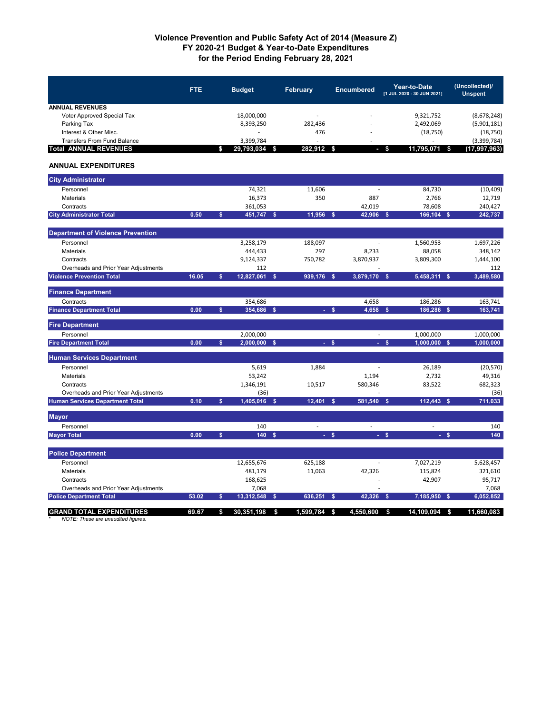#### **Violence Prevention and Public Safety Act of 2014 (Measure Z) FY 2020-21 Budget & Year-to-Date Expenditures for the Period Ending February 28, 2021**

|                                    | FTE. | <b>Budget</b> | February | <b>Encumbered</b>        | Year-to-Date<br>[1 JUL 2020 - 30 JUN 2021] | (Uncollected)/<br><b>Unspent</b> |
|------------------------------------|------|---------------|----------|--------------------------|--------------------------------------------|----------------------------------|
| <b>ANNUAL REVENUES</b>             |      |               |          |                          |                                            |                                  |
| Voter Approved Special Tax         |      | 18,000,000    |          |                          | 9,321,752                                  | (8,678,248)                      |
| Parking Tax                        |      | 8,393,250     | 282,436  |                          | 2,492,069                                  | (5,901,181)                      |
| Interest & Other Misc.             |      |               | 476      | -                        | (18,750)                                   | (18,750)                         |
| <b>Transfers From Fund Balance</b> |      | 3,399,784     | $\sim$   | $\overline{\phantom{a}}$ | $\overline{\phantom{a}}$                   | (3,399,784)                      |
| <b>Total ANNUAL REVENUES</b>       |      | 29,793,034    | 282,912  |                          | 11.795.071                                 | (17, 997, 963)                   |

#### **ANNUAL EXPENDITURES**

| <b>City Administrator</b>                |       |              |              |    |             |          |                          |        |                          |        |            |
|------------------------------------------|-------|--------------|--------------|----|-------------|----------|--------------------------|--------|--------------------------|--------|------------|
| Personnel                                |       |              | 74,321       |    | 11,606      |          |                          |        | 84,730                   |        | (10, 409)  |
| <b>Materials</b>                         |       |              | 16,373       |    | 350         |          | 887                      |        | 2,766                    |        | 12,719     |
| Contracts                                |       |              | 361,053      |    |             |          | 42,019                   |        | 78,608                   |        | 240,427    |
| <b>City Administrator Total</b>          | 0.50  | \$           | 451,747 \$   |    | 11,956 \$   |          | 42,906 \$                |        | 166,104 \$               |        | 242,737    |
| <b>Department of Violence Prevention</b> |       |              |              |    |             |          |                          |        |                          |        |            |
| Personnel                                |       |              | 3,258,179    |    | 188,097     |          | ÷,                       |        | 1,560,953                |        | 1,697,226  |
| <b>Materials</b>                         |       |              | 444,433      |    | 297         |          | 8,233                    |        | 88,058                   |        | 348,142    |
| Contracts                                |       |              | 9,124,337    |    | 750,782     |          | 3,870,937                |        | 3,809,300                |        | 1,444,100  |
| Overheads and Prior Year Adjustments     |       |              | 112          |    |             |          |                          |        |                          |        | 112        |
| <b>Violence Prevention Total</b>         | 16.05 | s.           | 12,827,061   | s. | 939,176 \$  |          | 3,879,170                | - \$   | 5,458,311 \$             |        | 3,489,580  |
| <b>Finance Department</b>                |       |              |              |    |             |          |                          |        |                          |        |            |
| Contracts                                |       |              | 354,686      |    |             |          | 4,658                    |        | 186,286                  |        | 163,741    |
| <b>Finance Department Total</b>          | 0.00  | $\mathbf{s}$ | 354,686 \$   |    |             | - \$     | 4,658                    | -\$    | 186,286 \$               |        | 163,741    |
| <b>Fire Department</b>                   |       |              |              |    |             |          |                          |        |                          |        |            |
| Personnel                                |       |              | 2,000,000    |    |             |          | $\overline{\phantom{a}}$ |        | 1,000,000                |        | 1,000,000  |
| <b>Fire Department Total</b>             | 0.00  | \$           | 2,000,000 \$ |    |             | $-5$     |                          | $-5$   | $1,000,000$ \$           |        | 1,000,000  |
| <b>Human Services Department</b>         |       |              |              |    |             |          |                          |        |                          |        |            |
| Personnel                                |       |              | 5,619        |    | 1,884       |          |                          |        | 26,189                   |        | (20, 570)  |
| <b>Materials</b>                         |       |              | 53,242       |    |             |          | 1,194                    |        | 2,732                    |        | 49,316     |
| Contracts                                |       |              | 1,346,191    |    | 10,517      |          | 580,346                  |        | 83,522                   |        | 682,323    |
| Overheads and Prior Year Adjustments     |       |              | (36)         |    |             |          |                          |        |                          |        | (36)       |
| <b>Human Services Department Total</b>   | 0.10  | s.           | 1,405,016 \$ |    | $12,401$ \$ |          | 581,540                  | - \$   | 112,443 \$               |        | 711,033    |
| <b>Mayor</b>                             |       |              |              |    |             |          |                          |        |                          |        |            |
| Personnel                                |       |              | 140          |    | $\sim$      |          | $\sim$                   |        | $\overline{\phantom{a}}$ |        | 140        |
| <b>Mayor Total</b>                       | 0.00  | \$           | 140          | -S |             | $-5$     |                          | $-$ \$ |                          | $-$ \$ | 140        |
| <b>Police Department</b>                 |       |              |              |    |             |          |                          |        |                          |        |            |
| Personnel                                |       |              | 12,655,676   |    | 625,188     |          |                          |        | 7,027,219                |        | 5,628,457  |
| <b>Materials</b>                         |       |              | 481,179      |    | 11,063      |          | 42,326                   |        | 115,824                  |        | 321,610    |
| Contracts                                |       |              | 168,625      |    |             |          |                          |        | 42,907                   |        | 95,717     |
| Overheads and Prior Year Adjustments     |       |              | 7,068        |    |             |          |                          |        |                          |        | 7,068      |
| <b>Police Department Total</b>           | 53.02 | $\mathsf{s}$ | 13,312,548   | s  | 636,251     | -S       | 42,326                   | -\$    | 7,185,950 \$             |        | 6,052,852  |
| <b>GRAND TOTAL EXPENDITURES</b>          | 69.67 | \$           | 30,351,198   | \$ | 1,599,784   | <b>S</b> | 4.550.600                | \$     | 14,109,094               | -S     | 11,660,083 |